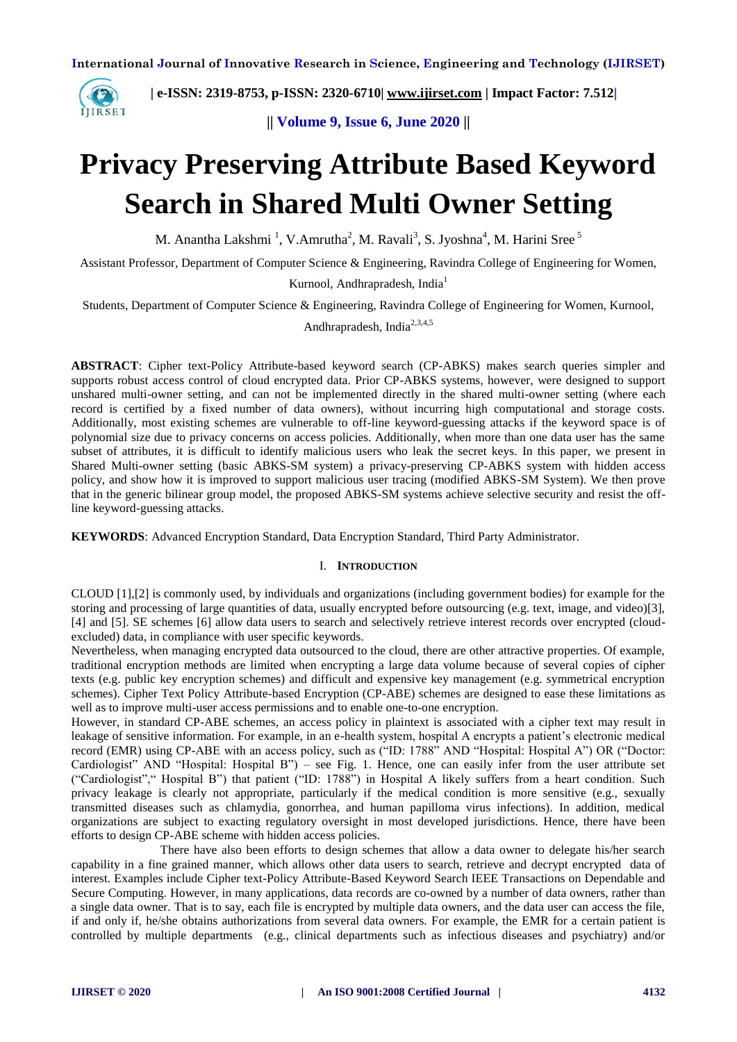

 **| e-ISSN: 2319-8753, p-ISSN: 2320-6710| [www.ijirset.com](http://www.ijirset.com/) | Impact Factor: 7.512|**

**|| Volume 9, Issue 6, June 2020 ||** 

# **Privacy Preserving Attribute Based Keyword Search in Shared Multi Owner Setting**

M. Anantha Lakshmi  $^1$ , V.Amrutha<sup>2</sup>, M. Ravali<sup>3</sup>, S. Jyoshna<sup>4</sup>, M. Harini Sree<sup>5</sup>

Assistant Professor, Department of Computer Science & Engineering, Ravindra College of Engineering for Women,

Kurnool, Andhrapradesh, India<sup>1</sup>

Students, Department of Computer Science & Engineering, Ravindra College of Engineering for Women, Kurnool,

Andhrapradesh, India<sup>2,3,4,5</sup>

**ABSTRACT**: Cipher text-Policy Attribute-based keyword search (CP-ABKS) makes search queries simpler and supports robust access control of cloud encrypted data. Prior CP-ABKS systems, however, were designed to support unshared multi-owner setting, and can not be implemented directly in the shared multi-owner setting (where each record is certified by a fixed number of data owners), without incurring high computational and storage costs. Additionally, most existing schemes are vulnerable to off-line keyword-guessing attacks if the keyword space is of polynomial size due to privacy concerns on access policies. Additionally, when more than one data user has the same subset of attributes, it is difficult to identify malicious users who leak the secret keys. In this paper, we present in Shared Multi-owner setting (basic ABKS-SM system) a privacy-preserving CP-ABKS system with hidden access policy, and show how it is improved to support malicious user tracing (modified ABKS-SM System). We then prove that in the generic bilinear group model, the proposed ABKS-SM systems achieve selective security and resist the offline keyword-guessing attacks.

**KEYWORDS**: Advanced Encryption Standard, Data Encryption Standard, Third Party Administrator.

#### I. **INTRODUCTION**

CLOUD [1],[2] is commonly used, by individuals and organizations (including government bodies) for example for the storing and processing of large quantities of data, usually encrypted before outsourcing (e.g. text, image, and video)[3], [4] and [5]. SE schemes [6] allow data users to search and selectively retrieve interest records over encrypted (cloudexcluded) data, in compliance with user specific keywords.

Nevertheless, when managing encrypted data outsourced to the cloud, there are other attractive properties. Of example, traditional encryption methods are limited when encrypting a large data volume because of several copies of cipher texts (e.g. public key encryption schemes) and difficult and expensive key management (e.g. symmetrical encryption schemes). Cipher Text Policy Attribute-based Encryption (CP-ABE) schemes are designed to ease these limitations as well as to improve multi-user access permissions and to enable one-to-one encryption.

However, in standard CP-ABE schemes, an access policy in plaintext is associated with a cipher text may result in leakage of sensitive information. For example, in an e-health system, hospital A encrypts a patient's electronic medical record (EMR) using CP-ABE with an access policy, such as ("ID: 1788" AND "Hospital: Hospital A") OR ("Doctor: Cardiologist" AND "Hospital: Hospital B") – see Fig. 1. Hence, one can easily infer from the user attribute set ("Cardiologist"," Hospital B") that patient ("ID: 1788") in Hospital A likely suffers from a heart condition. Such privacy leakage is clearly not appropriate, particularly if the medical condition is more sensitive (e.g., sexually transmitted diseases such as chlamydia, gonorrhea, and human papilloma virus infections). In addition, medical organizations are subject to exacting regulatory oversight in most developed jurisdictions. Hence, there have been efforts to design CP-ABE scheme with hidden access policies.

There have also been efforts to design schemes that allow a data owner to delegate his/her search capability in a fine grained manner, which allows other data users to search, retrieve and decrypt encrypted data of interest. Examples include Cipher text-Policy Attribute-Based Keyword Search IEEE Transactions on Dependable and Secure Computing. However, in many applications, data records are co-owned by a number of data owners, rather than a single data owner. That is to say, each file is encrypted by multiple data owners, and the data user can access the file, if and only if, he/she obtains authorizations from several data owners. For example, the EMR for a certain patient is controlled by multiple departments (e.g., clinical departments such as infectious diseases and psychiatry) and/or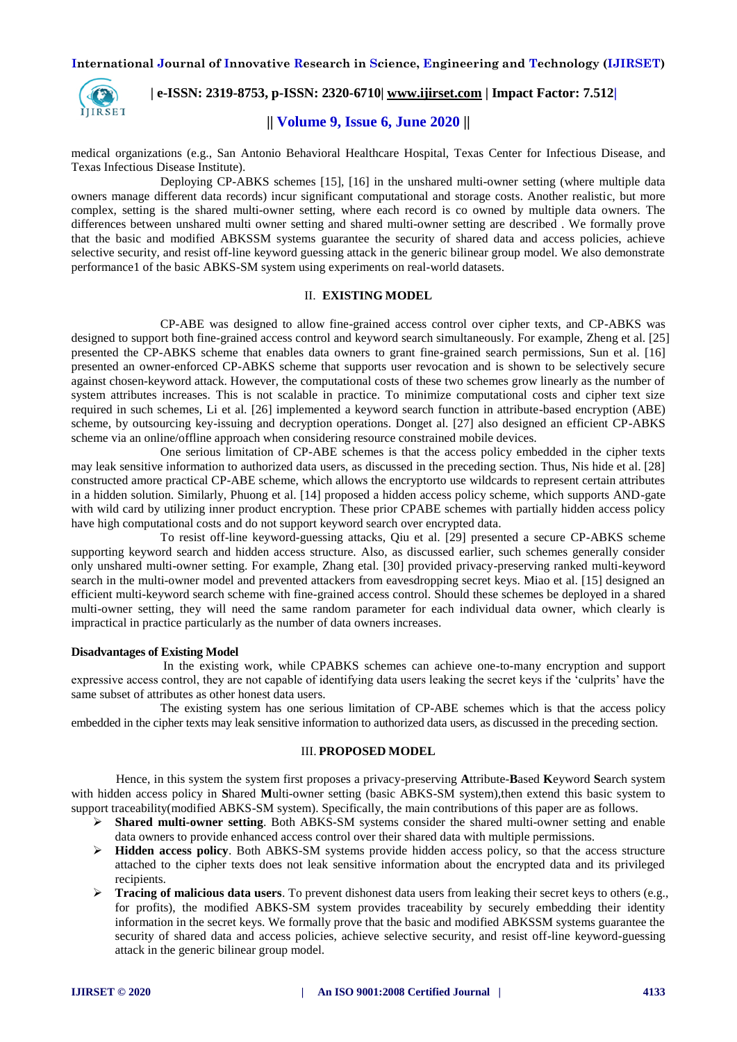

 **| e-ISSN: 2319-8753, p-ISSN: 2320-6710| [www.ijirset.com](http://www.ijirset.com/) | Impact Factor: 7.512|**

# **|| Volume 9, Issue 6, June 2020 ||**

medical organizations (e.g., San Antonio Behavioral Healthcare Hospital, Texas Center for Infectious Disease, and Texas Infectious Disease Institute).

Deploying CP-ABKS schemes [15], [16] in the unshared multi-owner setting (where multiple data owners manage different data records) incur significant computational and storage costs. Another realistic, but more complex, setting is the shared multi-owner setting, where each record is co owned by multiple data owners. The differences between unshared multi owner setting and shared multi-owner setting are described . We formally prove that the basic and modified ABKSSM systems guarantee the security of shared data and access policies, achieve selective security, and resist off-line keyword guessing attack in the generic bilinear group model. We also demonstrate performance1 of the basic ABKS-SM system using experiments on real-world datasets.

# II. **EXISTING MODEL**

CP-ABE was designed to allow fine-grained access control over cipher texts, and CP-ABKS was designed to support both fine-grained access control and keyword search simultaneously. For example, Zheng et al. [25] presented the CP-ABKS scheme that enables data owners to grant fine-grained search permissions, Sun et al. [16] presented an owner-enforced CP-ABKS scheme that supports user revocation and is shown to be selectively secure against chosen-keyword attack. However, the computational costs of these two schemes grow linearly as the number of system attributes increases. This is not scalable in practice. To minimize computational costs and cipher text size required in such schemes, Li et al. [26] implemented a keyword search function in attribute-based encryption (ABE) scheme, by outsourcing key-issuing and decryption operations. Donget al. [27] also designed an efficient CP-ABKS scheme via an online/offline approach when considering resource constrained mobile devices.

One serious limitation of CP-ABE schemes is that the access policy embedded in the cipher texts may leak sensitive information to authorized data users, as discussed in the preceding section. Thus, Nis hide et al. [28] constructed amore practical CP-ABE scheme, which allows the encryptorto use wildcards to represent certain attributes in a hidden solution. Similarly, Phuong et al. [14] proposed a hidden access policy scheme, which supports AND-gate with wild card by utilizing inner product encryption. These prior CPABE schemes with partially hidden access policy have high computational costs and do not support keyword search over encrypted data.

To resist off-line keyword-guessing attacks, Qiu et al. [29] presented a secure CP-ABKS scheme supporting keyword search and hidden access structure. Also, as discussed earlier, such schemes generally consider only unshared multi-owner setting. For example, Zhang etal. [30] provided privacy-preserving ranked multi-keyword search in the multi-owner model and prevented attackers from eavesdropping secret keys. Miao et al. [15] designed an efficient multi-keyword search scheme with fine-grained access control. Should these schemes be deployed in a shared multi-owner setting, they will need the same random parameter for each individual data owner, which clearly is impractical in practice particularly as the number of data owners increases.

#### **Disadvantages of Existing Model**

In the existing work, while CPABKS schemes can achieve one-to-many encryption and support expressive access control, they are not capable of identifying data users leaking the secret keys if the 'culprits' have the same subset of attributes as other honest data users.

The existing system has one serious limitation of CP-ABE schemes which is that the access policy embedded in the cipher texts may leak sensitive information to authorized data users, as discussed in the preceding section.

#### III. **PROPOSED MODEL**

Hence, in this system the system first proposes a privacy-preserving **A**ttribute-**B**ased **K**eyword **S**earch system with hidden access policy in **S**hared **M**ulti-owner setting (basic ABKS-SM system),then extend this basic system to support traceability(modified ABKS-SM system). Specifically, the main contributions of this paper are as follows.

- **Shared multi-owner setting**. Both ABKS-SM systems consider the shared multi-owner setting and enable data owners to provide enhanced access control over their shared data with multiple permissions.
- **Hidden access policy**. Both ABKS-SM systems provide hidden access policy, so that the access structure attached to the cipher texts does not leak sensitive information about the encrypted data and its privileged recipients.
- **Tracing of malicious data users**. To prevent dishonest data users from leaking their secret keys to others (e.g., for profits), the modified ABKS-SM system provides traceability by securely embedding their identity information in the secret keys. We formally prove that the basic and modified ABKSSM systems guarantee the security of shared data and access policies, achieve selective security, and resist off-line keyword-guessing attack in the generic bilinear group model.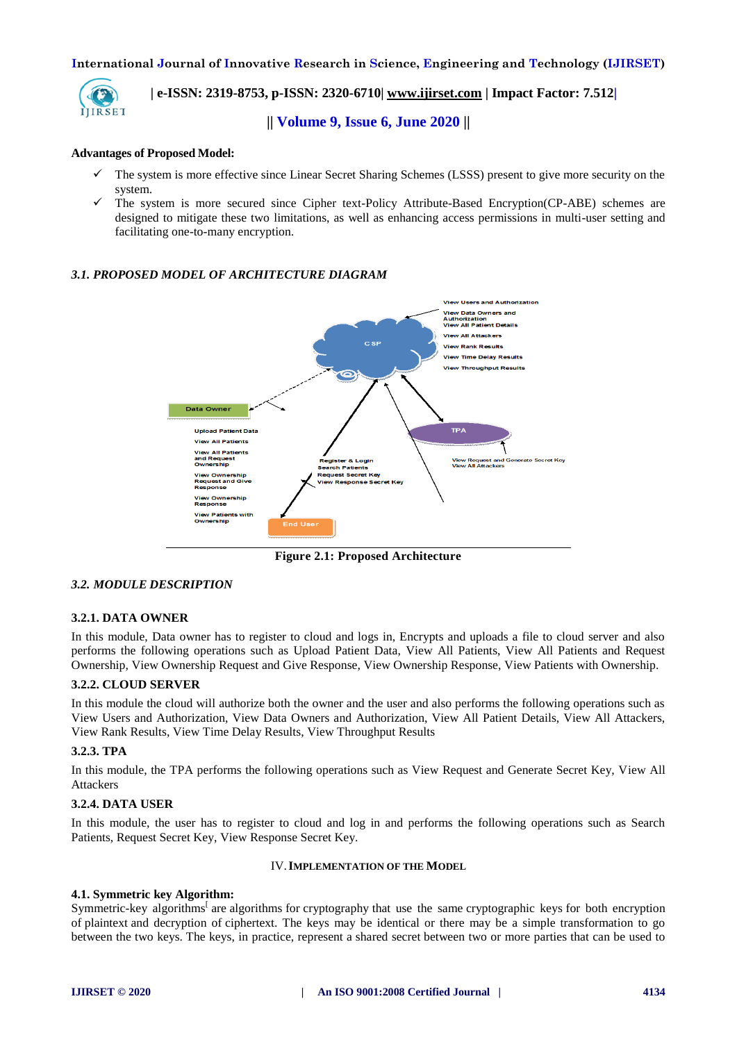

 **| e-ISSN: 2319-8753, p-ISSN: 2320-6710| [www.ijirset.com](http://www.ijirset.com/) | Impact Factor: 7.512|**

**|| Volume 9, Issue 6, June 2020 ||** 

#### **Advantages of Proposed Model:**

- $\checkmark$  The system is more effective since Linear Secret Sharing Schemes (LSSS) present to give more security on the system.
- The system is more secured since Cipher text-Policy Attribute-Based Encryption(CP-ABE) schemes are designed to mitigate these two limitations, as well as enhancing access permissions in multi-user setting and facilitating one-to-many encryption.

# *3.1. PROPOSED MODEL OF ARCHITECTURE DIAGRAM*



**Figure 2.1: Proposed Architecture**

# *3.2. MODULE DESCRIPTION*

# **3.2.1. DATA OWNER**

In this module, Data owner has to register to cloud and logs in, Encrypts and uploads a file to cloud server and also performs the following operations such as Upload Patient Data, View All Patients, View All Patients and Request Ownership, View Ownership Request and Give Response, View Ownership Response, View Patients with Ownership.

# **3.2.2. CLOUD SERVER**

In this module the cloud will authorize both the owner and the user and also performs the following operations such as View Users and Authorization, View Data Owners and Authorization, View All Patient Details, View All Attackers, View Rank Results, View Time Delay Results, View Throughput Results

# **3.2.3. TPA**

In this module, the TPA performs the following operations such as View Request and Generate Secret Key, View All **Attackers** 

#### **3.2.4. DATA USER**

In this module, the user has to register to cloud and log in and performs the following operations such as Search Patients, Request Secret Key, View Response Secret Key.

### IV.**IMPLEMENTATION OF THE MODEL**

#### **4.1. Symmetric key Algorithm:**

Symmetric-key algorithm[s](https://en.wikipedia.org/wiki/Symmetric-key_algorithm#cite_note-1)<sup>[</sup> are [algorithms](https://en.wikipedia.org/wiki/Algorithm) for [cryptography](https://en.wikipedia.org/wiki/Cryptography) that use the same [cryptographic keys](https://en.wikipedia.org/wiki/Key_(cryptography)) for both encryption of [plaintext](https://en.wikipedia.org/wiki/Plaintext) and decryption of [ciphertext.](https://en.wikipedia.org/wiki/Ciphertext) The keys may be identical or there may be a simple transformation to go between the two keys. The keys, in practice, represent a [shared secret](https://en.wikipedia.org/wiki/Shared_secret) between two or more parties that can be used to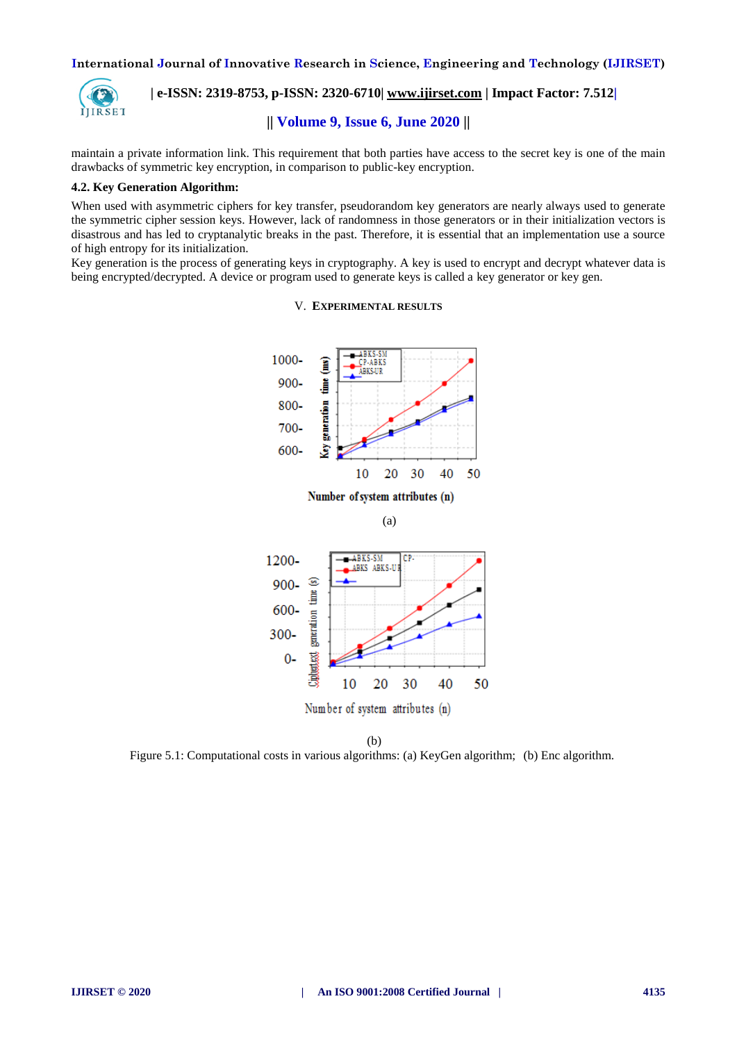

# **| e-ISSN: 2319-8753, p-ISSN: 2320-6710| [www.ijirset.com](http://www.ijirset.com/) | Impact Factor: 7.512|**

# **|| Volume 9, Issue 6, June 2020 ||**

maintain a private information link. This requirement that both parties have access to the secret key is one of the main drawbacks of symmetric key encryption, in comparison to [public-key encryption.](https://en.wikipedia.org/wiki/Public_key_encryption)

#### **4.2. Key Generation Algorithm:**

When used with asymmetric ciphers for key transfer, [pseudorandom key generators](https://en.wikipedia.org/wiki/Cryptographically_secure_pseudorandom_number_generator) are nearly always used to generate the symmetric cipher session keys. However, lack of randomness in those generators or in their [initialization vectors](https://en.wikipedia.org/wiki/Initialization_vector) is disastrous and has led to cryptanalytic breaks in the past. Therefore, it is essential that an implementation use a source of high [entropy](https://en.wikipedia.org/wiki/Entropy_(information_theory)) for its initialization.

Key generation is the process of generating keys in cryptography. A key is used to encrypt and decrypt whatever data is being encrypted/decrypted. A device or program used to generate keys is called a key generator or key gen.



# V. **EXPERIMENTAL RESULTS**

(b) Figure 5.1: Computational costs in various algorithms: (a) KeyGen algorithm; (b) Enc algorithm.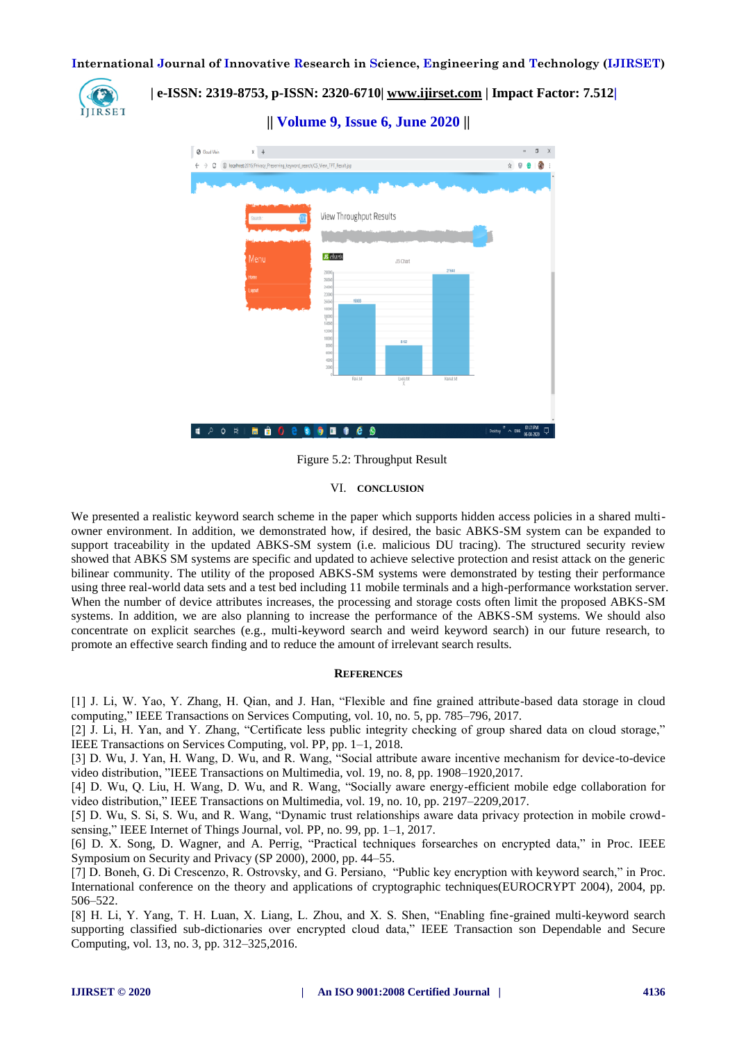

 **| e-ISSN: 2319-8753, p-ISSN: 2320-6710| [www.ijirset.com](http://www.ijirset.com/) | Impact Factor: 7.512|**

**|| Volume 9, Issue 6, June 2020 ||** 



Figure 5.2: Throughput Result

# VI. **CONCLUSION**

We presented a realistic keyword search scheme in the paper which supports hidden access policies in a shared multiowner environment. In addition, we demonstrated how, if desired, the basic ABKS-SM system can be expanded to support traceability in the updated ABKS-SM system (i.e. malicious DU tracing). The structured security review showed that ABKS SM systems are specific and updated to achieve selective protection and resist attack on the generic bilinear community. The utility of the proposed ABKS-SM systems were demonstrated by testing their performance using three real-world data sets and a test bed including 11 mobile terminals and a high-performance workstation server. When the number of device attributes increases, the processing and storage costs often limit the proposed ABKS-SM systems. In addition, we are also planning to increase the performance of the ABKS-SM systems. We should also concentrate on explicit searches (e.g., multi-keyword search and weird keyword search) in our future research, to promote an effective search finding and to reduce the amount of irrelevant search results.

# **REFERENCES**

[1] J. Li, W. Yao, Y. Zhang, H. Qian, and J. Han, "Flexible and fine grained attribute-based data storage in cloud computing," IEEE Transactions on Services Computing, vol. 10, no. 5, pp. 785–796, 2017.

[2] J. Li, H. Yan, and Y. Zhang, "Certificate less public integrity checking of group shared data on cloud storage," IEEE Transactions on Services Computing, vol. PP, pp. 1–1, 2018.

[3] D. Wu, J. Yan, H. Wang, D. Wu, and R. Wang, "Social attribute aware incentive mechanism for device-to-device video distribution, "IEEE Transactions on Multimedia, vol. 19, no. 8, pp. 1908–1920,2017.

[4] D. Wu, Q. Liu, H. Wang, D. Wu, and R. Wang, "Socially aware energy-efficient mobile edge collaboration for video distribution," IEEE Transactions on Multimedia, vol. 19, no. 10, pp. 2197–2209,2017.

[5] D. Wu, S. Si, S. Wu, and R. Wang, "Dynamic trust relationships aware data privacy protection in mobile crowdsensing," IEEE Internet of Things Journal, vol. PP, no. 99, pp. 1–1, 2017.

[6] D. X. Song, D. Wagner, and A. Perrig, "Practical techniques forsearches on encrypted data," in Proc. IEEE Symposium on Security and Privacy (SP 2000), 2000, pp. 44–55.

[7] D. Boneh, G. Di Crescenzo, R. Ostrovsky, and G. Persiano, "Public key encryption with keyword search," in Proc. International conference on the theory and applications of cryptographic techniques(EUROCRYPT 2004), 2004, pp. 506–522.

[8] H. Li, Y. Yang, T. H. Luan, X. Liang, L. Zhou, and X. S. Shen, "Enabling fine-grained multi-keyword search supporting classified sub-dictionaries over encrypted cloud data," IEEE Transaction son Dependable and Secure Computing, vol. 13, no. 3, pp. 312–325,2016.